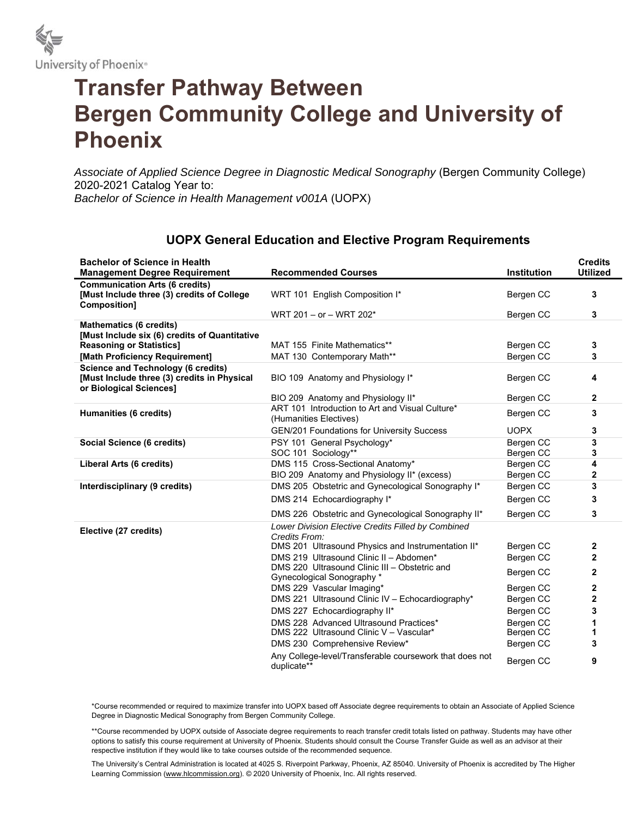

## **Transfer Pathway Between Bergen Community College and University of Phoenix**

*Associate of Applied Science Degree in Diagnostic Medical Sonography* (Bergen Community College) 2020-2021 Catalog Year to: *Bachelor of Science in Health Management v001A* (UOPX)

## **UOPX General Education and Elective Program Requirements**

| <b>Bachelor of Science in Health</b><br><b>Management Degree Requirement</b>                                        | <b>Recommended Courses</b>                                                        | <b>Institution</b>     | <b>Credits</b><br><b>Utilized</b> |
|---------------------------------------------------------------------------------------------------------------------|-----------------------------------------------------------------------------------|------------------------|-----------------------------------|
| <b>Communication Arts (6 credits)</b><br>[Must Include three (3) credits of College<br>Composition]                 | WRT 101 English Composition I*                                                    | Bergen CC              | 3                                 |
|                                                                                                                     | WRT 201 - or - WRT 202*                                                           | Bergen CC              | 3                                 |
| <b>Mathematics (6 credits)</b><br>[Must Include six (6) credits of Quantitative                                     |                                                                                   |                        |                                   |
| <b>Reasoning or Statistics]</b>                                                                                     | MAT 155 Finite Mathematics**                                                      | Bergen CC              | 3                                 |
| [Math Proficiency Requirement]                                                                                      | MAT 130 Contemporary Math**                                                       | Bergen CC              | 3                                 |
| <b>Science and Technology (6 credits)</b><br>[Must Include three (3) credits in Physical<br>or Biological Sciences] | BIO 109 Anatomy and Physiology I*                                                 | Bergen CC              | 4                                 |
|                                                                                                                     | BIO 209 Anatomy and Physiology II*                                                | Bergen CC              | $\mathbf{2}$                      |
| Humanities (6 credits)                                                                                              | ART 101 Introduction to Art and Visual Culture*<br>(Humanities Electives)         | Bergen CC              | 3                                 |
|                                                                                                                     | <b>GEN/201 Foundations for University Success</b>                                 | <b>UOPX</b>            | 3                                 |
| Social Science (6 credits)                                                                                          | PSY 101 General Psychology*<br>SOC 101 Sociology**                                | Bergen CC<br>Bergen CC | 3<br>3                            |
| Liberal Arts (6 credits)                                                                                            | DMS 115 Cross-Sectional Anatomy*                                                  | Bergen CC              | 4                                 |
|                                                                                                                     | BIO 209 Anatomy and Physiology II* (excess)                                       | Bergen CC              | $\mathbf{2}$                      |
| Interdisciplinary (9 credits)                                                                                       | DMS 205 Obstetric and Gynecological Sonography I*                                 | Bergen CC              | 3                                 |
|                                                                                                                     | DMS 214 Echocardiography I*                                                       | Bergen CC              | 3                                 |
|                                                                                                                     | DMS 226 Obstetric and Gynecological Sonography II*                                | Bergen CC              | 3                                 |
| Elective (27 credits)                                                                                               | Lower Division Elective Credits Filled by Combined<br>Credits From:               |                        |                                   |
|                                                                                                                     | DMS 201 Ultrasound Physics and Instrumentation II*                                | Bergen CC              | 2                                 |
|                                                                                                                     | DMS 219 Ultrasound Clinic II - Abdomen*                                           | Bergen CC              | $\mathbf{2}$                      |
|                                                                                                                     | DMS 220 Ultrasound Clinic III - Obstetric and<br>Gynecological Sonography *       | Bergen CC              | $\mathbf{2}$                      |
|                                                                                                                     | DMS 229 Vascular Imaging*                                                         | Bergen CC              | 2                                 |
|                                                                                                                     | DMS 221 Ultrasound Clinic IV - Echocardiography*                                  | Bergen CC              | $\mathbf{2}$                      |
|                                                                                                                     | DMS 227 Echocardiography II*                                                      | Bergen CC              | 3                                 |
|                                                                                                                     | DMS 228 Advanced Ultrasound Practices*<br>DMS 222 Ultrasound Clinic V - Vascular* | Bergen CC<br>Bergen CC | 1<br>1                            |
|                                                                                                                     | DMS 230 Comprehensive Review*                                                     | Bergen CC              | 3                                 |
|                                                                                                                     | Any College-level/Transferable coursework that does not<br>duplicate**            | Bergen CC              | 9                                 |

\*Course recommended or required to maximize transfer into UOPX based off Associate degree requirements to obtain an Associate of Applied Science Degree in Diagnostic Medical Sonography from Bergen Community College.

\*\*Course recommended by UOPX outside of Associate degree requirements to reach transfer credit totals listed on pathway. Students may have other options to satisfy this course requirement at University of Phoenix. Students should consult the Course Transfer Guide as well as an advisor at their respective institution if they would like to take courses outside of the recommended sequence.

The University's Central Administration is located at 4025 S. Riverpoint Parkway, Phoenix, AZ 85040. University of Phoenix is accredited by The Higher Learning Commission (www.hlcommission.org). © 2020 University of Phoenix, Inc. All rights reserved.